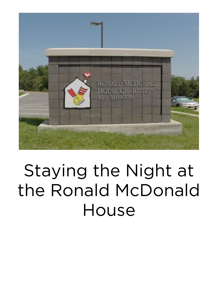

## Staying the Night at the Ronald McDonald House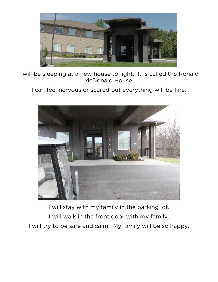

I will be sleeping at a new house tonight. It is called the Ronald McDonald House.

I can feel nervous or scared but everything will be fine.



I will stay with my family in the parking lot. I will walk in the front door with my family. I will try to be safe and calm. My family will be so happy.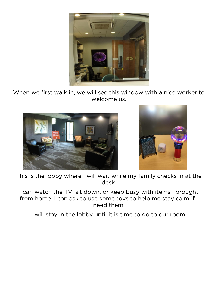

When we first walk in, we will see this window with a nice worker to welcome us.





This is the lobby where I will wait while my family checks in at the desk.

I can watch the TV, sit down, or keep busy with items I brought from home. I can ask to use some toys to help me stay calm if I need them.

I will stay in the lobby until it is time to go to our room.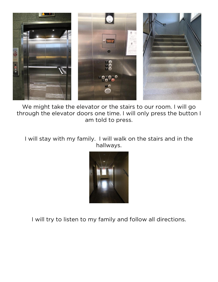

We might take the elevator or the stairs to our room. I will go through the elevator doors one time. I will only press the button I am told to press.

I will stay with my family. I will walk on the stairs and in the hallways.



I will try to listen to my family and follow all directions.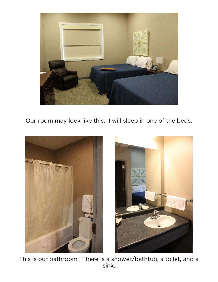

Our room may look like this. I will sleep in one of the beds.





This is our bathroom. There is a shower/bathtub, a toilet, and a sink.